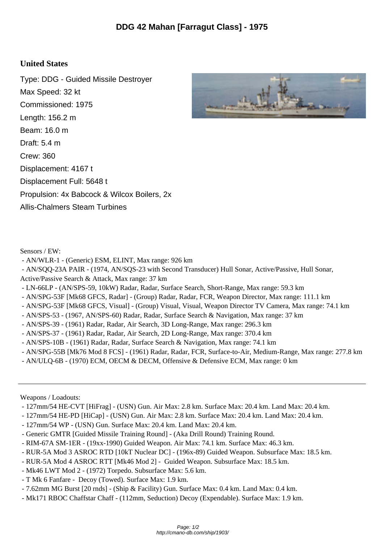## **United States**

Type: DDG - Guided Missile Destroyer Max Speed: 32 kt Commissioned: 1975 Length: 156.2 m Beam: 16.0 m Draft: 5.4 m Crew: 360 Displacement: 4167 t Displacement Full: 5648 t Propulsion: 4x Babcock & Wilcox Boilers, 2x Allis-Chalmers Steam Turbines



Sensors / EW:

- AN/WLR-1 (Generic) ESM, ELINT, Max range: 926 km
- AN/SQQ-23A PAIR (1974, AN/SQS-23 with Second Transducer) Hull Sonar, Active/Passive, Hull Sonar,
- Active/Passive Search & Attack, Max range: 37 km
- LN-66LP (AN/SPS-59, 10kW) Radar, Radar, Surface Search, Short-Range, Max range: 59.3 km
- AN/SPG-53F [Mk68 GFCS, Radar] (Group) Radar, Radar, FCR, Weapon Director, Max range: 111.1 km
- AN/SPG-53F [Mk68 GFCS, Visual] (Group) Visual, Visual, Weapon Director TV Camera, Max range: 74.1 km
- AN/SPS-53 (1967, AN/SPS-60) Radar, Radar, Surface Search & Navigation, Max range: 37 km
- AN/SPS-39 (1961) Radar, Radar, Air Search, 3D Long-Range, Max range: 296.3 km
- AN/SPS-37 (1961) Radar, Radar, Air Search, 2D Long-Range, Max range: 370.4 km
- AN/SPS-10B (1961) Radar, Radar, Surface Search & Navigation, Max range: 74.1 km
- AN/SPG-55B [Mk76 Mod 8 FCS] (1961) Radar, Radar, FCR, Surface-to-Air, Medium-Range, Max range: 277.8 km
- AN/ULQ-6B (1970) ECM, OECM & DECM, Offensive & Defensive ECM, Max range: 0 km

Weapons / Loadouts:

- 127mm/54 HE-CVT [HiFrag] (USN) Gun. Air Max: 2.8 km. Surface Max: 20.4 km. Land Max: 20.4 km.
- 127mm/54 HE-PD [HiCap] (USN) Gun. Air Max: 2.8 km. Surface Max: 20.4 km. Land Max: 20.4 km.
- 127mm/54 WP (USN) Gun. Surface Max: 20.4 km. Land Max: 20.4 km.
- Generic GMTR [Guided Missile Training Round] (Aka Drill Round) Training Round.
- RIM-67A SM-1ER (19xx-1990) Guided Weapon. Air Max: 74.1 km. Surface Max: 46.3 km.
- RUR-5A Mod 3 ASROC RTD [10kT Nuclear DC] (196x-89) Guided Weapon. Subsurface Max: 18.5 km.
- RUR-5A Mod 4 ASROC RTT [Mk46 Mod 2] Guided Weapon. Subsurface Max: 18.5 km.
- Mk46 LWT Mod 2 (1972) Torpedo. Subsurface Max: 5.6 km.
- T Mk 6 Fanfare Decoy (Towed). Surface Max: 1.9 km.
- 7.62mm MG Burst [20 rnds] (Ship & Facility) Gun. Surface Max: 0.4 km. Land Max: 0.4 km.
- Mk171 RBOC Chaffstar Chaff (112mm, Seduction) Decoy (Expendable). Surface Max: 1.9 km.